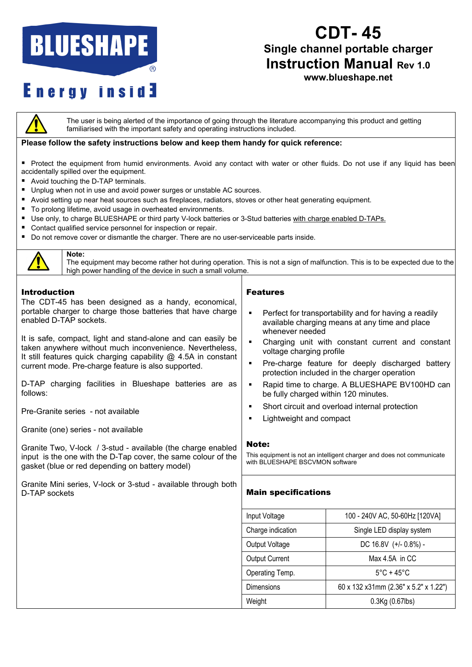# **BLUESHAPE**

### **CDT- 45 Single channel portable charger Instruction Manual Rev 1.0**

**www.blueshape.net**

### **Energy inside**

The user is being alerted of the importance of going through the literature accompanying this product and getting familiarised with the important safety and operating instructions included.

#### **Please follow the safety instructions below and keep them handy for quick reference:**

Protect the equipment from humid environments. Avoid any contact with water or other fluids. Do not use if any liquid has been accidentally spilled over the equipment.

- Avoid touching the D-TAP terminals.
- **Unplug when not in use and avoid power surges or unstable AC sources.**
- Avoid setting up near heat sources such as fireplaces, radiators, stoves or other heat generating equipment.
- To prolong lifetime, avoid usage in overheated environments.
- Use only, to charge BLUESHAPE or third party V-lock batteries or 3-Stud batteries with charge enabled D-TAPs.
- **Contact qualified service personnel for inspection or repair.**
- Do not remove cover or dismantle the charger. There are no user-serviceable parts inside.



#### **Note:**

The equipment may become rather hot during operation. This is not a sign of malfunction. This is to be expected due to the high power handling of the device in such a small volume.

#### Introduction

The CDT-45 has been designed as a handy, economical, portable charger to charge those batteries that have charge enabled D-TAP sockets.

It is safe, compact, light and stand-alone and can easily be taken anywhere without much inconvenience. Nevertheless, It still features quick charging capability  $@$  4.5A in constant current mode. Pre-charge feature is also supported.

D-TAP charging facilities in Blueshape batteries are as follows:

Pre-Granite series - not available

Granite (one) series - not available

Granite Two, V-lock / 3-stud - available (the charge enabled input is the one with the D-Tap cover, the same colour of the gasket (blue or red depending on battery model)

Granite Mini series, V-lock or 3-stud - available through both D-TAP sockets

#### Features

- **Perfect for transportability and for having a readily** available charging means at any time and place whenever needed
- Charging unit with constant current and constant voltage charging profile
- **Pre-charge feature for deeply discharged battery** protection included in the charger operation
- **Rapid time to charge. A BLUESHAPE BV100HD can** be fully charged within 120 minutes.
- Short circuit and overload internal protection
- Lightweight and compact

#### Note:

This equipment is not an intelligent charger and does not communicate with BLUESHAPE BSCVMON software

#### Main specifications

| Input Voltage         | 100 - 240V AC, 50-60Hz [120VA]        |
|-----------------------|---------------------------------------|
| Charge indication     | Single LED display system             |
| Output Voltage        | DC 16.8V (+/- 0.8%) -                 |
| <b>Output Current</b> | Max 4.5A in CC                        |
| Operating Temp.       | $5^{\circ}$ C + 45 $^{\circ}$ C       |
| Dimensions            | 60 x 132 x31mm (2.36" x 5.2" x 1.22") |
| Weight                | $0.3$ Kg $(0.67$ lbs $)$              |